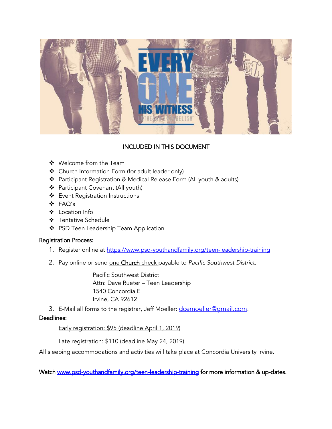

# INCLUDED IN THIS DOCUMENT

- ❖ Welcome from the Team
- ❖ Church Information Form (for adult leader only)
- ❖ Participant Registration & Medical Release Form (All youth & adults)
- ❖ Participant Covenant (All youth)
- ❖ Event Registration Instructions
- ❖ FAQ's
- ❖ Location Info
- ❖ Tentative Schedule
- ❖ PSD Teen Leadership Team Application

## Registration Process:

- 1. Register online at<https://www.psd-youthandfamily.org/teen-leadership-training>
- 2. Pay online or send one Church check payable to *Pacific Southwest District*.

Pacific Southwest District Attn: Dave Rueter – Teen Leadership 1540 Concordia E Irvine, CA 92612

3. E-Mail all forms to the registrar, Jeff Moeller: [dcemoeller@gmail.com](mailto:dcemoeller@gmail.com).

### Deadlines:

Early registration: \$95 (deadline April 1, 2019)

## Late registration: \$110 (deadline May 24, 2019)

All sleeping accommodations and activities will take place at Concordia University Irvine.

Watch [www.psd-youthandfamily.org/teen-leadership-training](http://www.psd-youthandfamily.org/teen-leadership-training) for more information & up-dates.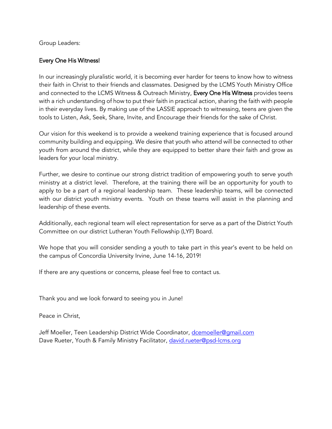### Group Leaders:

## Every One His Witness!

In our increasingly pluralistic world, it is becoming ever harder for teens to know how to witness their faith in Christ to their friends and classmates. Designed by the LCMS Youth Ministry Office and connected to the LCMS Witness & Outreach Ministry, Every One His Witness provides teens with a rich understanding of how to put their faith in practical action, sharing the faith with people in their everyday lives. By making use of the LASSIE approach to witnessing, teens are given the tools to Listen, Ask, Seek, Share, Invite, and Encourage their friends for the sake of Christ.

Our vision for this weekend is to provide a weekend training experience that is focused around community building and equipping. We desire that youth who attend will be connected to other youth from around the district, while they are equipped to better share their faith and grow as leaders for your local ministry.

Further, we desire to continue our strong district tradition of empowering youth to serve youth ministry at a district level. Therefore, at the training there will be an opportunity for youth to apply to be a part of a regional leadership team. These leadership teams, will be connected with our district youth ministry events. Youth on these teams will assist in the planning and leadership of these events.

Additionally, each regional team will elect representation for serve as a part of the District Youth Committee on our district Lutheran Youth Fellowship (LYF) Board.

We hope that you will consider sending a youth to take part in this year's event to be held on the campus of Concordia University Irvine, June 14-16, 2019!

If there are any questions or concerns, please feel free to contact us.

Thank you and we look forward to seeing you in June!

Peace in Christ,

Jeff Moeller, Teen Leadership District Wide Coordinator, [dcemoeller@gmail.com](mailto:dcemoeller@gmail.com) Dave Rueter, Youth & Family Ministry Facilitator, [david.rueter@psd-lcms.org](mailto:david.rueter@psd-lcms.org)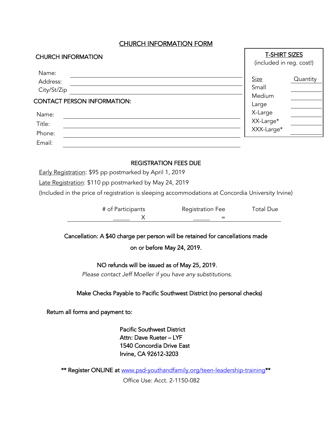## CHURCH INFORMATION FORM

| <b>CHURCH INFORMATION</b>          | <b>T-SHIRT SIZES</b><br>(included in reg. cost!) |
|------------------------------------|--------------------------------------------------|
| Name:<br>Address:<br>City/St/Zip   | <b>Size</b><br>Quantity<br>Small                 |
| <b>CONTACT PERSON INFORMATION:</b> | Medium<br>Large                                  |
| Name:                              | X-Large                                          |
| Title:                             | XX-Large*                                        |
| Phone:                             | XXX-Large*                                       |
| Email:                             |                                                  |

### REGISTRATION FEES DUE

Early Registration: \$95 pp postmarked by April 1, 2019

Late Registration: \$110 pp postmarked by May 24, 2019

(Included in the price of registration is sleeping accommodations at Concordia University Irvine)

| # of Participants | <b>Registration Fee</b> | <b>Total Due</b> |
|-------------------|-------------------------|------------------|
|                   |                         |                  |

Cancellation: A \$40 charge per person will be retained for cancellations made

on or before May 24, 2019.

### NO refunds will be issued as of May 25, 2019.

*Please contact Jeff Moeller if you have any substitutions.*

### Make Checks Payable to Pacific Southwest District (no personal checks)

Return all forms and payment to:

Pacific Southwest District Attn: Dave Rueter – LYF 1540 Concordia Drive East Irvine, CA 92612-3203

\*\* Register ONLINE at [www.psd-youthandfamily.org/teen-leadership-training\\*](https://www.psd-youthandfamily.org/teen-leadership-training)\*

Office Use: Acct. 2-1150-082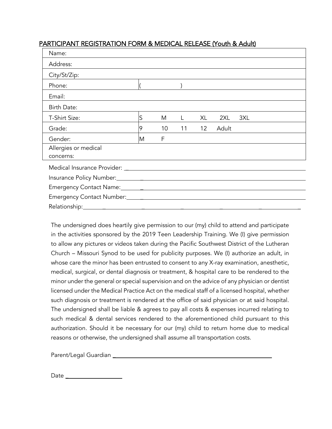# PARTICIPANT REGISTRATION FORM & MEDICAL RELEASE (Youth & Adult)

| Name:                |   |    |    |    |       |     |  |
|----------------------|---|----|----|----|-------|-----|--|
| Address:             |   |    |    |    |       |     |  |
| City/St/Zip:         |   |    |    |    |       |     |  |
| Phone:               |   |    |    |    |       |     |  |
| Email:               |   |    |    |    |       |     |  |
| Birth Date:          |   |    |    |    |       |     |  |
| T-Shirt Size:        | S | M  |    | XL | 2XL   | 3XL |  |
| Grade:               | 9 | 10 | 11 | 12 | Adult |     |  |
| Gender:              | M | F  |    |    |       |     |  |
| Allergies or medical |   |    |    |    |       |     |  |
| concerns:            |   |    |    |    |       |     |  |
|                      |   |    |    |    |       |     |  |
|                      |   |    |    |    |       |     |  |
|                      |   |    |    |    |       |     |  |
|                      |   |    |    |    |       |     |  |
|                      |   |    |    |    |       |     |  |

The undersigned does heartily give permission to our (my) child to attend and participate in the activities sponsored by the 2019 Teen Leadership Training. We (I) give permission to allow any pictures or videos taken during the Pacific Southwest District of the Lutheran Church – Missouri Synod to be used for publicity purposes. We (I) authorize an adult, in whose care the minor has been entrusted to consent to any X-ray examination, anesthetic, medical, surgical, or dental diagnosis or treatment, & hospital care to be rendered to the minor under the general or special supervision and on the advice of any physician or dentist licensed under the Medical Practice Act on the medical staff of a licensed hospital, whether such diagnosis or treatment is rendered at the office of said physician or at said hospital. The undersigned shall be liable & agrees to pay all costs & expenses incurred relating to such medical & dental services rendered to the aforementioned child pursuant to this authorization. Should it be necessary for our (my) child to return home due to medical reasons or otherwise, the undersigned shall assume all transportation costs.

Parent/Legal Guardian \_

Date and the state of the state of the state of the state of the state of the state of the state of the state of the state of the state of the state of the state of the state of the state of the state of the state of the s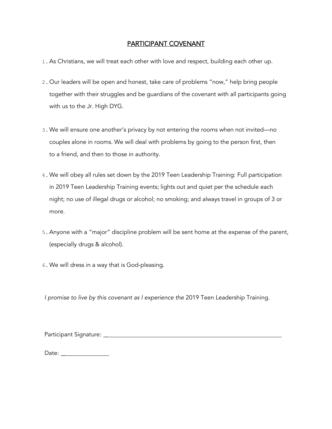# PARTICIPANT COVENANT

- 1.As Christians, we will treat each other with love and respect, building each other up.
- 2. Our leaders will be open and honest, take care of problems "now," help bring people together with their struggles and be guardians of the covenant with all participants going with us to the Jr. High DYG.
- 3.We will ensure one another's privacy by not entering the rooms when not invited—no couples alone in rooms. We will deal with problems by going to the person first, then to a friend, and then to those in authority.
- 4.We will obey all rules set down by the 2019 Teen Leadership Training: Full participation in 2019 Teen Leadership Training events; lights out and quiet per the schedule each night; no use of illegal drugs or alcohol; no smoking; and always travel in groups of 3 or more.
- 5.Anyone with a "major" discipline problem will be sent home at the expense of the parent, (especially drugs & alcohol).
- 6.We will dress in a way that is God-pleasing.

*I promise to live by this covenant as I experience the* 2019 Teen Leadership Training*.*

Participant Signature: \_

Date: \_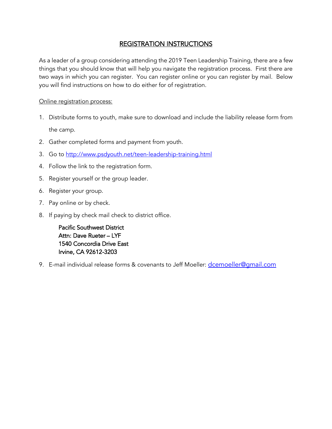# REGISTRATION INSTRUCTIONS

As a leader of a group considering attending the 2019 Teen Leadership Training, there are a few things that you should know that will help you navigate the registration process. First there are two ways in which you can register. You can register online or you can register by mail. Below you will find instructions on how to do either for of registration.

Online registration process:

- 1. Distribute forms to youth, make sure to download and include the liability release form from the camp.
- 2. Gather completed forms and payment from youth.
- 3. Go to<http://www.psdyouth.net/teen-leadership-training.html>
- 4. Follow the link to the registration form.
- 5. Register yourself or the group leader.
- 6. Register your group.
- 7. Pay online or by check.
- 8. If paying by check mail check to district office.

Pacific Southwest District Attn: Dave Rueter – LYF 1540 Concordia Drive East Irvine, CA 92612-3203

9. E-mail individual release forms & covenants to Jeff Moeller: dcemoeller@qmail.com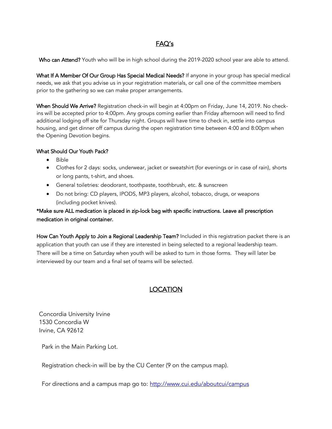# FAQ's

Who can Attend? Youth who will be in high school during the 2019-2020 school year are able to attend.

What If A Member Of Our Group Has Special Medical Needs? If anyone in your group has special medical needs, we ask that you advise us in your registration materials, or call one of the committee members prior to the gathering so we can make proper arrangements.

When Should We Arrive? Registration check-in will begin at 4:00pm on Friday, June 14, 2019. No checkins will be accepted prior to 4:00pm. Any groups coming earlier than Friday afternoon will need to find additional lodging off site for Thursday night. Groups will have time to check in, settle into campus housing, and get dinner off campus during the open registration time between 4:00 and 8:00pm when the Opening Devotion begins.

### What Should Our Youth Pack?

- Bible
- Clothes for 2 days: socks, underwear, jacket or sweatshirt (for evenings or in case of rain), shorts or long pants, t-shirt, and shoes.
- General toiletries: deodorant, toothpaste, toothbrush, etc. & sunscreen
- Do not bring: CD players, IPODS, MP3 players, alcohol, tobacco, drugs, or weapons (including pocket knives).

## \*Make sure ALL medication is placed in zip-lock bag with specific instructions. Leave all prescription medication in original container.

How Can Youth Apply to Join a Regional Leadership Team? Included in this registration packet there is an application that youth can use if they are interested in being selected to a regional leadership team. There will be a time on Saturday when youth will be asked to turn in those forms. They will later be interviewed by our team and a final set of teams will be selected.

# LOCATION

Concordia University Irvine 1530 Concordia W Irvine, CA 92612

Park in the Main Parking Lot.

Registration check-in will be by the CU Center (9 on the campus map).

For directions and a campus map go to:<http://www.cui.edu/aboutcui/campus>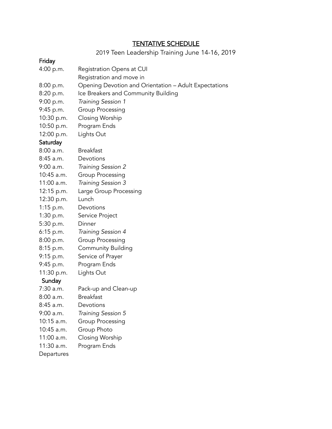## TENTATIVE SCHEDULE

2019 Teen Leadership Training June 14-16, 2019

## Friday

- 4:00 p.m. Registration Opens at CUI
	- Registration and move in
- 8:00 p.m. Opening Devotion and Orientation Adult Expectations
- 8:20 p.m. Ice Breakers and Community Building
- 9:00 p.m. *Training Session 1*
- 9:45 p.m. Group Processing
- 10:30 p.m. Closing Worship
- 10:50 p.m. Program Ends
- 12:00 p.m. Lights Out

## **Saturday**

| 8:00 a.m.   | <b>Breakfast</b>          |
|-------------|---------------------------|
| 8:45 a.m.   | Devotions                 |
| 9:00 a.m.   | Training Session 2        |
| 10:45 a.m.  | Group Processing          |
| 11:00 a.m.  | Training Session 3        |
| 12:15 p.m.  | Large Group Processing    |
| 12:30 p.m.  | Lunch                     |
| $1:15$ p.m. | Devotions                 |
| 1:30 p.m.   | Service Project           |
| 5:30 p.m.   | Dinner                    |
| 6:15 p.m.   | Training Session 4        |
| 8:00 p.m.   | Group Processing          |
| 8:15 p.m.   | <b>Community Building</b> |
| 9:15 p.m.   | Service of Prayer         |
| 9:45 p.m.   | Program Ends              |
| 11:30 p.m.  | Lights Out                |
| Sunday      |                           |
| 7:30 a.m.   | Pack-up and Clean-up      |
|             |                           |

- 8:00 a.m. Breakfast
- 8:45 a.m. Devotions
- 9:00 a.m. *Training Session 5*
- 10:15 a.m. Group Processing
- 10:45 a.m. Group Photo
- 11:00 a.m. Closing Worship
- 11:30 a.m. Program Ends

**Departures**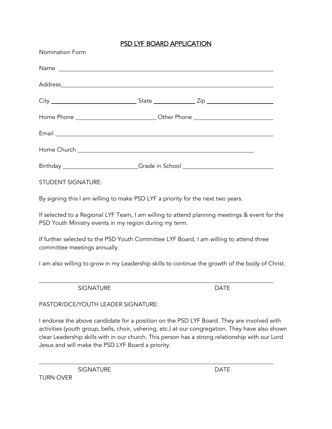# PSD LYF BOARD APPLICATION

| Nomination Form                                                                  |  |
|----------------------------------------------------------------------------------|--|
|                                                                                  |  |
|                                                                                  |  |
|                                                                                  |  |
| Home Phone ___________________________________Other Phone ______________________ |  |
|                                                                                  |  |
|                                                                                  |  |
| Birthday ________________________Grade in School _______________________________ |  |
| $C = \frac{1}{2}$                                                                |  |

STUDENT SIGNATURE:

By signing this I am willing to make PSD LYF a priority for the next two years.

If selected to a Regional LYF Team, I am willing to attend planning meetings & event for the PSD Youth Ministry events in my region during my term.

If further selected to the PSD Youth Committee LYF Board, I am willing to attend three committee meetings annually.

I am also willing to grow in my Leadership skills to continue the growth of the body of Christ.

SIGNATURE DATE

PASTOR/DCE/YOUTH LEADER SIGNATURE:

I endorse the above candidate for a position on the PSD LYF Board. They are involved with activities (youth group, bells, choir, ushering, etc.) at our congregation. They have also shown clear Leadership skills with in our church. This person has a strong relationship with our Lord Jesus and will make the PSD LYF Board a priority.

SIGNATURE DATE

TURN OVER